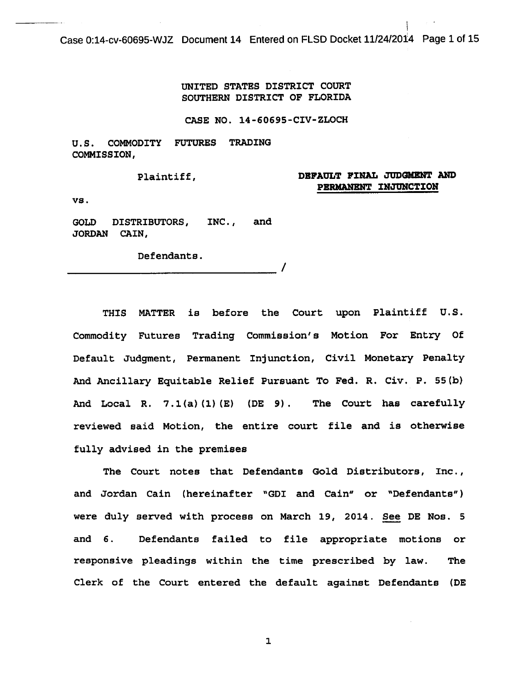Case 0:14-cv-60695-WJZ Document 14 Entered on FLSD Docket 11/24/2014 Page 1 of 15

UNITED STATES DISTRICT COURT SOUTHERN DISTRICT OF FLORIDA

CASE NO. 14-60695-CIV-ZLOCH

U.S. COMMODITY FUTURES TRADING COMMISSION,

Plaintiff,

## DEFAULT FINAL JUDGMENT AND PBRMANBNT INJUNCTION

 $\mathbf{I}$ 

vs.

GOLD DISTRIBUTORS, INC., and JORDAN CAIN,

Defendants. Defendants.

THIS MATTER is before the Court upon Plaintiff U.S. Commodity Futures Trading Commission's Motion For Entry Of Default Judgment, Permanent Injunction, Civil Monetary Penalty And Ancillary Equitable Relief Pursuant To Fed. R. Civ. P. 55(b) And Local R. 7.1(a)(1)(E) (DE 9). The Court has carefully reviewed said Motion, the entire court file and is otherwise fully advised in the premises

The Court notes that Defendants Gold Distributors, Inc., and Jordan Cain (hereinafter "GDI and Cain" or "Defendants") were duly served with process on March 19, 2014. See DE Nos. 5 and 6. Defendants failed to file appropriate motions or responsive pleadings within the time prescribed by law. The Clerk of the Court entered the default against Defendants (DE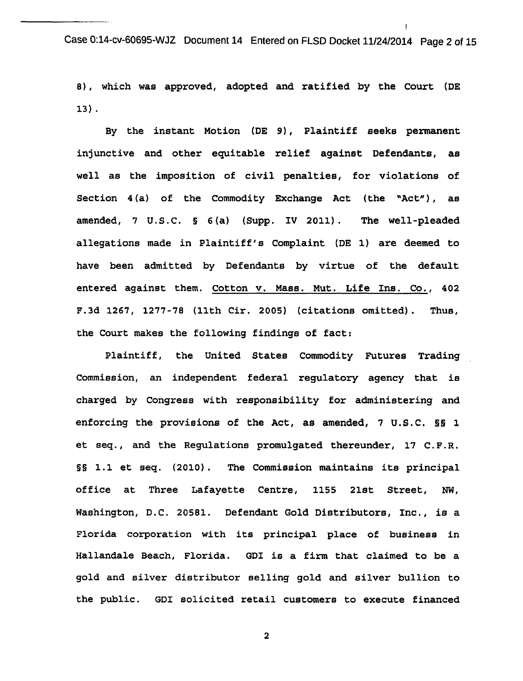Case 0:14-cv-60695-WJZ Document 14 Entered on FLSD Docket 11/24/2014 Page 2 of 15

 $\mathbf{I}$ 

8), which was approved, adopted and ratified by the Court (DE 13) .

By the instant Motion (DE 9), Plaintiff seeks permanent injunctive and other equitable relief against Defendants, as well as the imposition of civil penalties, for violations of Section 4(a) of the Commodity Exchange Act (the "Act"), as amended, 7 u.s.c. § 6 (a) (Supp. IV 2011). The well-pleaded allegations made in Plaintiff's Complaint (DE 1) are deemed to have been admitted by Defendants by virtue of the default entered against them. Cotton v. Mass. Mut. Life Ins. Co., 402 F.3d 1267, 1277-78 (11th Cir. 2005) (citations omitted). Thus, the Court makes the following findings of fact:

Plaintiff, the United States Commodity Futures Trading commission, an independent federal regulatory agency that is charged by Congress with responsibility for administering and enforcing the provisions of the Act, as amended, 7 U.S.C. §§ 1 et seq., and the Regulations promulgated thereunder, 17 C.F.R. §§ 1.1 et seq. (2010) . The Commission maintains its principal office at Three Lafayette Centre, 1155 21st Street, NW, Washington, D.C. 20581. Defendant Gold Distributors, Inc., is a Florida corporation with its principal place of business in Hallandale Beach, Florida. GDI is a firm that claimed to be a gold and silver distributor selling gold and silver bullion to the public. GDI solicited retail customers to execute financed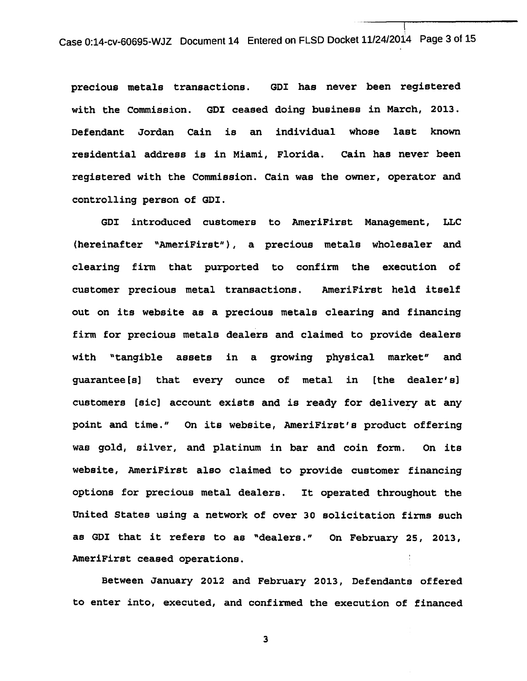Case 0:14-cv-60695-WJZ Document 14 Entered on FLSD Docket 11/24/2014 Page 3 of 15

precious metals transactions. GDI has never been registered with the Commission. GDI ceased doing business in March, 2013. Defendant Jordan Cain is an individual whose last known residential address is in Miami, Florida. Cain has never been registered with the Commission. Cain was the owner, operator and controlling person of GDI.

GDI introduced customers to AmeriFirst Management, LLC (hereinafter "AmeriFirst"), a precious metals wholesaler and clearing firm that purported to confirm the execution of customer precious metal transactions. AmeriFirst held itself out on its website as a precious metals clearing and financing firm for precious metals dealers and claimed to provide dealers with "tangible assets in a growing physical market" and guarantee[s] that every ounce of metal in [the dealer's] customers [sic] account exists and is ready for delivery at any point and time." On its website, AmeriFirst's product offering was gold, silver, and platinum in bar and coin form. On its website, AmeriFirst also claimed to provide customer financing options for precious metal dealers. It operated throughout the United States using a network of over 30 solicitation firms such as GDI that it refers to as "dealers." On February 25, 2013, AmeriFirst ceased operations.

Between January 2012 and February 2013, Defendants offered to enter into, executed, and confirmed the execution of financed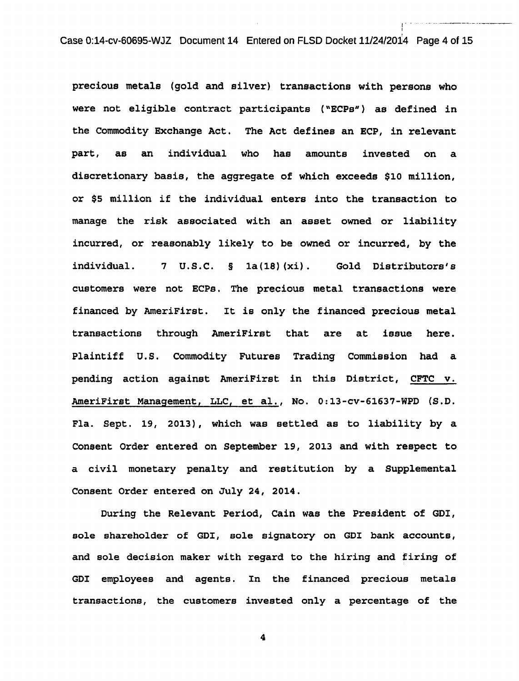Case 0:14-cv-60695-WJZ Document 14 Entered on FLSD Docket 11/24/2014 Page 4 of 15

I ........ -------------

1

precious metals (gold and silver) transactions with persons who were not eligible contract participants ( "ECPs") as defined in the Commodity Exchange Act. The Act defines an ECP, in relevant part, as an individual who has amounts invested on a discretionary basis, the aggregate of which exceeds \$10 million, or \$5 million if the individual enters into the transaction to manage the risk associated with an asset owned or liability incurred, or reasonably likely to be owned or incurred, by the individual. 7 u.s.c. § 1a(18) (xi). Gold Distributors's customers were not ECPs. The precious metal transactions were financed by AmeriFirst. It is only the financed precious metal transactions through AmeriFirst that are at issue here. Plaintiff U.S. Commodity Futures Trading Commission had a pending action against AmeriFirst in this District, CFTC v. AmeriFirst Management, LLC, et al., No. 0:13-cv-61637-WPD (S.D. Fla. Sept. 19, 2013), which was settled as to liability by a Consent Order entered on September 19, 2013 and with respect to a civil monetary penalty and restitution by a Supplemental Consent Order entered on July 24, 2014.

During the Relevant Period, Cain was the President of GDI, sole shareholder of GDI, sole signatory on GDI bank accounts, and sole decision maker with regard to the hiring and firing of GDI employees and agents. In the financed precious metals transactions, the customers invested only a percentage of the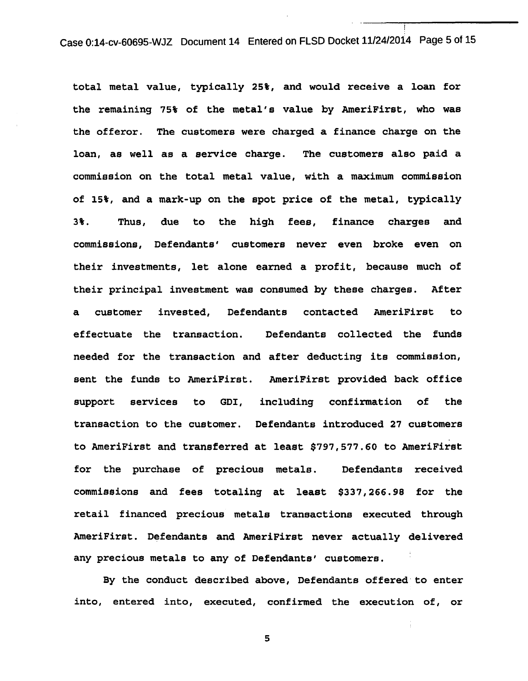case 0:14-cv-60695-WJZ Document 14 Entered on FLSD Docket 11/24/2014 Page 5 of 15

I

total metal value, typically 25%, and would receive a loan for the remaining 75% of the metal's value by AmeriFirst, who was the offeror. The customers were charged a finance charge on the loan, as well as a service charge. The customers also paid a commission on the total metal value, with a maximum commission of 15%, and a mark-up on the spot price of the metal, typically 3%. Thus, due to the high fees, finance charges and commissions, Defendants' customers never even broke even on their investments, let alone earned a profit, because much of their principal investment was consumed by these charges. After a customer invested, Defendants contacted AmeriFirst to effectuate the transaction. Defendants collected the funds needed for the transaction and after deducting its commission, sent the funds to AmeriPirst. AmeriPirst provided back office support services to GDI, including confirmation of the transaction to the customer. Defendants introduced 27 customers to AmeriPirst and transferred at least \$797,577.60 to AmeriFirst for the purchase of precious metals. Defendants received commissions and fees totaling at least \$337,266.98 for the retail financed precious metals transactions executed through AmeriFirst. Defendants and AmeriFirst never actually delivered any precious metals to any of Defendants' customers.

By the conduct described above, Defendants offered· to enter into, entered into, executed, confirmed the execution of, or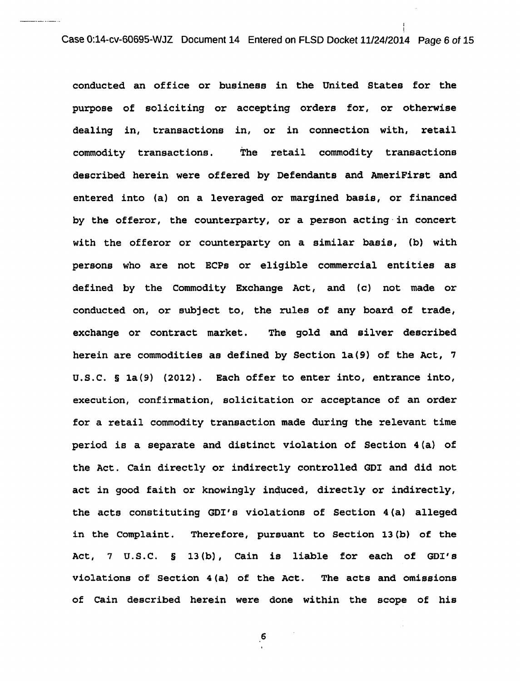I I

conducted an office or business in the United States for the purpose of soliciting or accepting orders for, or otherwise dealing in, transactions in, or in connection with, retail commodity transactions. The retail commodity transactions described herein were offered by Defendants and AmeriFirst and entered into (a) on a leveraged or margined basis, or financed by the offeror, the counterparty, or a person acting·in concert with the offeror or counterparty on a similar basis, (b) with persons who are not ECPs or eligible commercial entities as defined by the Commodity Exchange Act, and (c) not made or conducted on, or subject to, the rules of any board of trade, exchange or contract market. The gold and silver described herein are commodities as defined by Section la(9) of the Act, 7 u.s.c. § la(9) (2012). Each offer to enter into, entrance into, execution, confirmation, solicitation or acceptance of an order for a retail commodity transaction made during the relevant time period is a separate and distinct violation of Section 4 (a) of the Act. Cain directly or indirectly controlled GDI and did not act in good faith or knowingly induced, directly or indirectly, the acts constituting GDI's violations of Section 4(a) alleged in the Complaint. Therefore, pursuant to Section l3(b) of the Act, 7 u.s.c. § 13(b), Cain is liable for each of GDI's violations of Section 4(a) of the Act. The acts and omissions of Cain described herein were done within the scope of his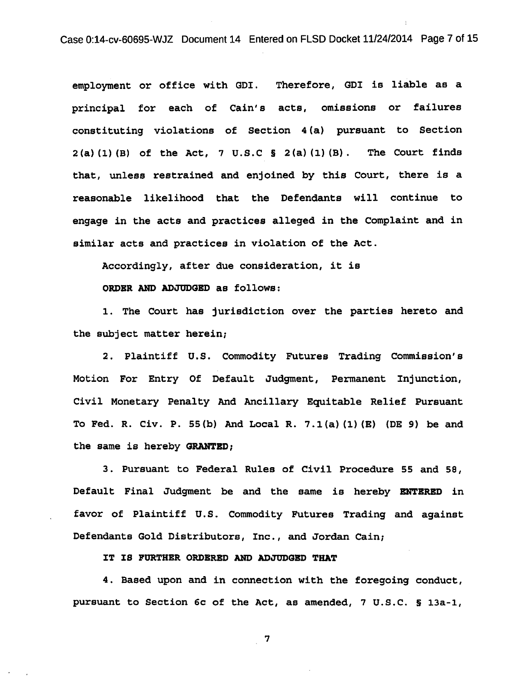Case 0:14-cv-60695-WJZ Document 14 Entered on FLSD Docket 11/24/2014 Page 7 of 15

employment or office with GDI. Therefore, GDI is liable as a principal for each of Cain's acts, omissions or failures constituting violations of Section 4(a) pursuant to Section  $2(a)$  (1) (B) of the Act, 7 U.S.C § 2(a) (1) (B). The Court finds that, unless restrained and enjoined by this Court, there is a reasonable likelihood that the Defendants will continue to engage in the acts and practices alleged in the Complaint and in similar acts and practices in violation of the Act.

Accordingly, after due consideration, it is

ORDBR AND ADJODGBD as follows:

1. The Court has jurisdiction over the parties hereto and the subject matter herein;

2. Plaintiff U.S. Commodity Futures Trading Commission's Motion For Entry Of Default Judgment, Permanent Injunction, Civil Monetary Penalty And Ancillary Equitable Relief Pursuant To Fed. R. Civ. P. 55(b) And Local R. 7.l(a) (1) (E) (DE 9) be and the same is hereby GRANTBD;

3. Pursuant to Federal Rules of Civil Procedure 55 and 58, Default Final Judgment be and the same is hereby ENTERED in favor of Plaintiff u.s. Commodity Futures Trading and against Defendants Gold Distributors, Inc., and Jordan Cain;

IT IS PORTHBR ORDBRBD AND ADJODGBD THAT

4. Based upon and in connection with the foregoing conduct, pursuant to Section 6c of the Act, as amended, 7 u.s.c. § 13a-1,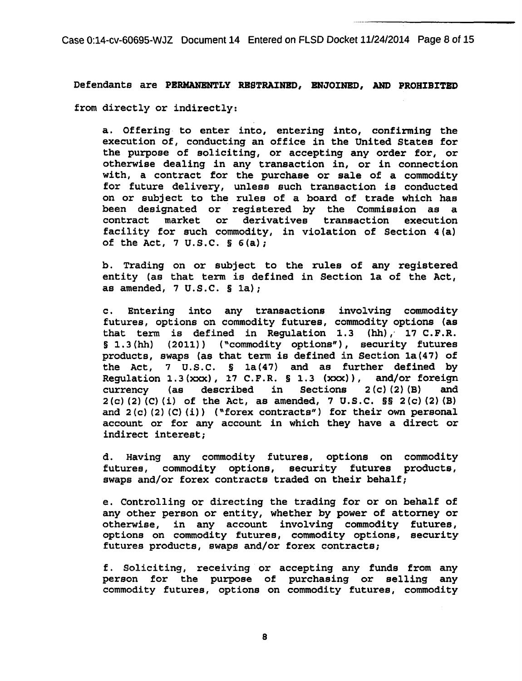Case 0:14-cv-60695-WJZ Document 14 Entered on FLSD Docket 11/24/2014 Page 8 of 15

Defendants are PERMANENTLY RESTRAINED, ENJOINED, AND PROHIBITED from directly or indirectly:

a. Offering to enter into, entering into, confirming the execution of, conducting an office in the United States for the purpose of soliciting, or accepting any order for, or otherwise dealing in any transaction in, or in connection with, a contract for the purchase or sale of a commodity for future delivery, unless such transaction is conducted on or subject to the rules of a board of trade which has been designated or registered by the Commission as a contract market or derivatives transaction execution facility for such commodity, in violation of Section 4 (a) of the Act,  $7 \text{ U.S.C. }$  §  $6(a)$ ;

b. Trading on or subject to the rules of any registered entity (as that term is defined in Section la of the Act, as amended,  $7 \text{ U.S.C. }$  § 1a);

c. Entering into any transactions involving commodity futures, options on commodity futures, commodity options (as that term is defined in Regulation 1.3  $(hh)$ , 17 C.F.R. § 1.3(hh) (2011)) ("commodity options"), security futures products, swaps (as that term is defined in Section 1a(47) of the Act, 7 u.s.c. § 1a(47) and as further defined by Regulation  $1.3(xxx)$ ,  $17$  C.F.R. § 1.3  $(xxx)$ ), and/or foreign currency (as described in Sections 2(c) (2) (B) and  $2(c)$  (2) (C) (i) of the Act, as amended, 7 U.S.C.  $\S$ S  $2(c)$  (2) (B) and  $2(c)$   $(2)$   $(c)$   $(ii)$  ("forex contracts") for their own personal account or for any account in which they have a direct or indirect interest;

d. Having any commodity futures, options on commodity futures, commodity options, security futures products, swaps and/or forex contracts traded on their behalf;

e. Controlling or directing the trading for or on behalf of any other person or entity, whether by power of attorney or otherwise, in any account involving commodity futures, options on commodity futures, commodity options, security futures products, swaps and/or forex contracts;

f. Soliciting, receiving or accepting any funds from any person for the purpose of purchasing or selling any commodity futures, options on commodity futures, commodity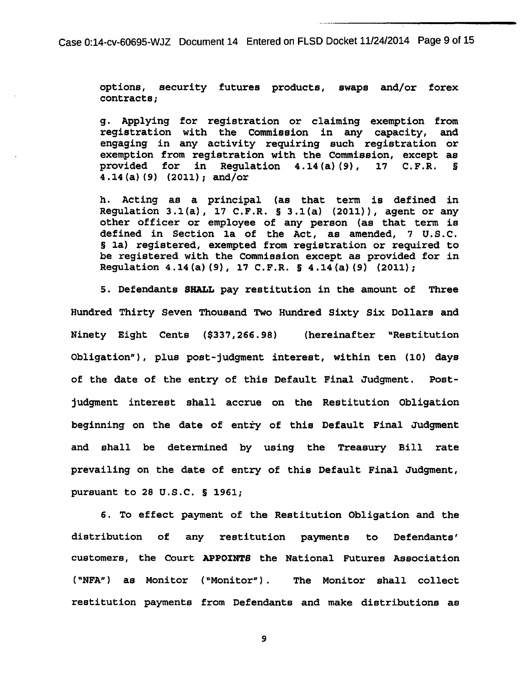Case 0:14-cv-60695-WJZ Document 14 Entered on FLSD Docket 11/24/2014 Page 9 of 15

options, security futures products, swaps and/or forex contracts;

g. Applying for registration or claiming exemption from registration with the Commission in any capacity, and engaging in any activity requiring such registration or exemption from registration with the Commission, except as<br>provided for in Requlation  $4.14(a)(9)$ , 17 C.F.R. § for in Regulation  $4.14$  (a) (9), 4.14 (a) (9) (2011); and/or

h. Acting as a principal (as that term is defined in Regulation 3.1(a),  $17$  C.F.R. § 3.1(a) (2011)), agent or any other officer or employee of any person (as that term is defined in Section 1a of the Act, as amended, 7 U.S.C. § 1a) registered, exempted from registration or required to be registered with the commission except as provided for in Regulation 4.14(a) (9), 17 C.F.R. § 4.14(a) (9) (2011);

5. Defendants SHALL pay restitution in the amount of Three Hundred Thirty Seven Thousand Two Hundred Sixty Six Dollars and Ninety Eight Cents (\$337,266.98) (hereinafter "Restitution Obligation"), plus post-judgment interest, within ten (10) days of the date of the entry of this Default Final Judgment. Postjudgment interest shall accrue on the Restitution Obligation beginning on the date of entry of this Default Final Judgment and shall be determined by using the Treasury Bill rate prevailing on the date of entry of this Default Final Judgment, pursuant to 28 u.s.c. § 1961;

6. To effect payment of the Restitution Obligation and the distribution of any restitution payments to Defendants' customers, the Court APPOINTS the National Futures Association ( "NFA") as Monitor ("Monitor") . The Monitor shall collect restitution payments from Defendants and make distributions as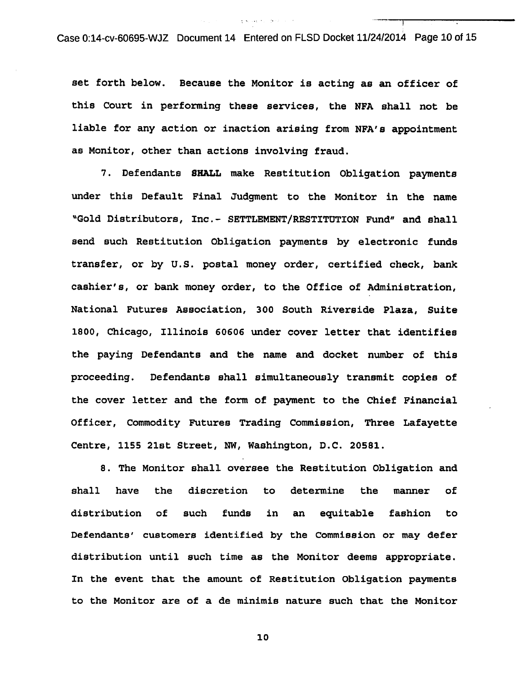Case 0:14-cv-60695-WJZ Document 14 Entered on FLSD Docket 11/24/2014 Page 10 of 15

set forth below. Because the Monitor is acting as an officer of this Court in performing these services, the NFA shall not be liable for any action or inaction arising from NFA's appointment as Monitor, other than actions involving fraud.

7. Defendants SHALL make Restitution Obligation payments under this Default Final Judgment to the Monitor in the name "Gold Distributors, Inc.- SETTLEMENT/RESTITUTION Fund" and shall send such Restitution Obligation payments by electronic funds transfer, or by u.s. postal money order, certified check, bank cashier's, or bank money order, to the Office of Administration, National Futures Association, 300 South Riverside Plaza, Suite 1800, Chicago, Illinois 60606 under cover letter that identifies the paying Defendants and the name and docket number of this proceeding. Defendants shall simultaneously transmit copies of the cover letter and the form of payment to the Chief Financial Officer, Commodity Futures Trading Commission, Three Lafayette Centre, 1155 21st Street, NW, washington, D.C. 20581.

8. The Monitor shall oversee the Restitution Obligation and shall have the discretion to determine the manner of distribution of such funds in an equitable fashion to Defendants' customers identified by the Commission or may defer distribution until such time as the Monitor deems appropriate. In the event that the amount of Restitution Obligation payments to the Monitor are of a de minimis nature such that the Monitor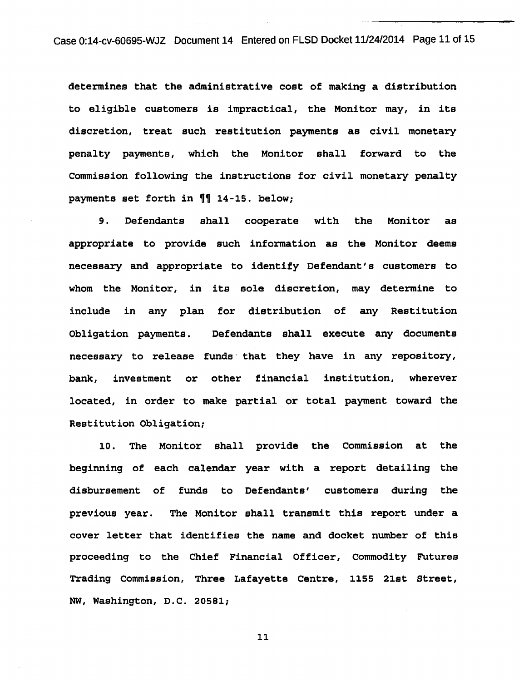case 0:14-cv-60695-WJZ Document 14 Entered on FLSD Docket 11/24/2014 Page 11 of 15

determines that the administrative cost of making a distribution to eligible customers is impractical, the Monitor may, in its discretion, treat such restitution payments as civil monetary penalty payments, which the Monitor shall forward to the Commission following the instructions for civil monetary penalty payments set forth in  $\P$  14-15. below;

9. Defendants shall cooperate with the Monitor as appropriate to provide such information as the Monitor deems necessary and appropriate to identify Defendant's customers to whom the Monitor, in its sole discretion, may determine to include in any plan for distribution of any Restitution Obligation payments. Defendants shall execute any documents necessary to release funds· that they have in any repository, bank, investment or other financial institution, wherever located, in order to make partial or total payment toward the Restitution Obligation;

10. The Monitor shall provide the Commission at the beginning of each calendar year with a report detailing the disbursement of funds to Defendants' customers during the previous year. The Monitor shall transmit this report under a cover letter that identifies the name and docket number of this proceeding to the Chief Financial Officer, Commodity Futures Trading Commission, Three Lafayette Centre, 1155 21st Street, NW, Washington, D.C. 20581;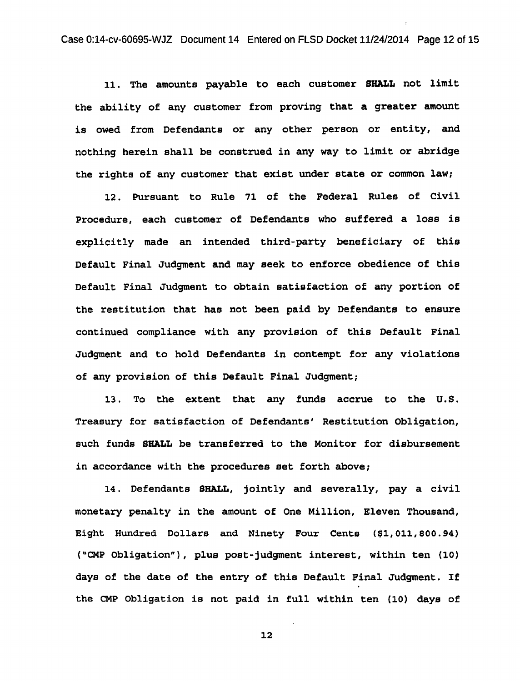11. The amounts payable to each customer SHALL not limit the ability of any customer from proving that a greater amount is owed from Defendants or any other person or entity, and nothing herein shall be construed in any way to limit or abridge the rights of any customer that exist under state or common law;

12. Pursuant to Rule 71 of the Federal Rules of Civil Procedure, each customer of Defendants who suffered a loss is explicitly made an intended third-party beneficiary of this Default Final Judgment and may seek to enforce obedience of this Default Final Judgment to obtain satisfaction of any portion of the restitution that has not been paid by Defendants to ensure continued compliance with any provision of this Default Final Judgment and to hold Defendants in contempt for any violations of any provision of this Default Final Judgment;

13. To the extent that any funds accrue to the U.S. Treasury for satisfaction of Defendants' Restitution Obligation, such funds SHALL be transferred to the Monitor for disbursement in accordance with the procedures set forth above;

14. Defendants SHALL, jointly and severally, pay a civil monetary penalty in the amount of One Million, Eleven Thousand, Eight Hundred Dollars and Ninety Four Cents (\$1,011,800.94) ( "CMP Obligation") , plus post-judgment interest, within ten (10) days of the date of the entry of this Default Final Judgment. If the CMP Obligation is not paid in full within ten (10) days of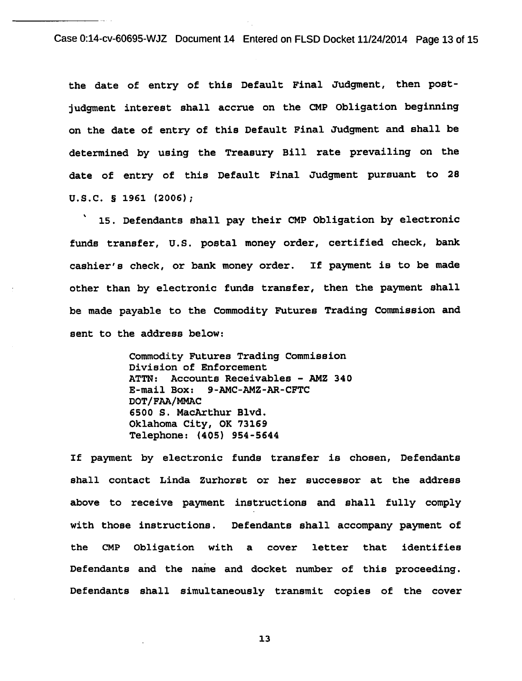Case 0:14-cv-60695-WJZ Document 14 Entered on FLSD Docket 11/24/2014 Page 13 of 15

the date of entry of this Default Final Judgment, then postjudgment interest shall accrue on the CMP Obligation beginning on the date of entry of this Default Final Judgment and shall be determined by using the Treasury Bill rate prevailing on the date of entry of this Default Final Judgment pursuant to 28 u.s.c. § 1961 (2006);

15. Defendants shall pay their CMP Obligation by electronic funds transfer, U.S. postal money order, certified check, bank cashier's check, or bank money order. If payment is to be made other than by electronic funds transfer, then the payment shall be made payable to the Commodity Futures Trading Commission and sent to the address below:

> Commodity Futures Trading Commission Division of Enforcement ATTN: Accounts Receivables - AMZ 340 E-mail Box: 9-AMC-AMZ-AR-CFTC DOT/FAA/MMAC 6500 s. MacArthur Blvd. Oklahoma City, OK 73169 Telephone: (405) 954-5644

If payment by electronic funds transfer is chosen, Defendants shall contact Linda zurhorst or her successor at the address above to receive payment instructions and shall fully comply with those instructions. Defendants shall accompany payment of the CMP Obligation with a cover letter that identifies Defendants and the name and docket number of this proceeding. Defendants shall simultaneously transmit copies of the cover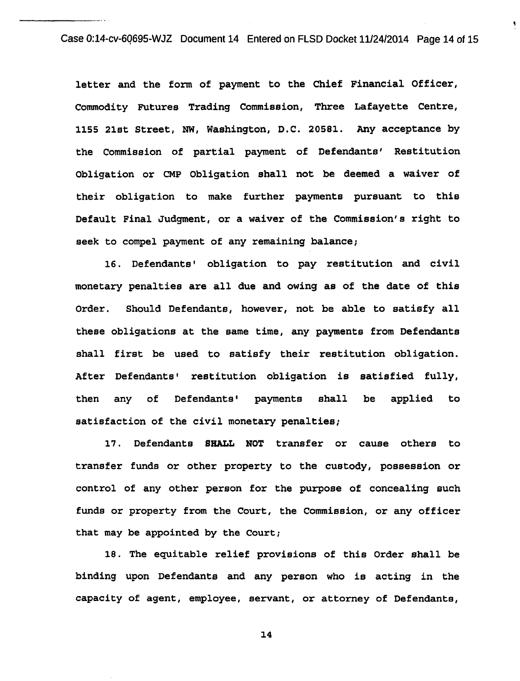Case 0:14-cv-6Q695-WJZ Document 14 Entered on FLSD Docket 11/24/2014 Page 14 of 15

letter and the form of payment to the Chief Financial Officer, Commodity Futures Trading Commission, Three Lafayette Centre, 1155 21st Street, NW, Washington, D.C. 20581. Any acceptance by the Commission of partial payment of Defendants' Restitution Obligation or CMP Obligation shall not be deemed a waiver of their obligation to make further payments pursuant to this Default Final Judgment, or a waiver of the Commission's right to seek to compel payment of any remaining balance;

16. Defendants' obligation to pay restitution and civil monetary penalties are all due and owing as of the date of this Order. Should Defendants, however, not be able to satisfy all these obligations at the same time, any payments from Defendants shall first be used to satisfy their restitution obligation. After Defendants• restitution obligation is satisfied fully, then any of Defendants' payments shall satisfaction of the civil monetary penalties; be applied to

17. Defendants SHALL NOT transfer or cause others to transfer funds or other property to the custody, possession or control of any other person for the purpose of concealing such funds or property from the Court, the Commission, or any officer that may be appointed by the Court;

18. The equitable relief provisions of this Order shall be binding upon Defendants and any person who is acting in the capacity of agent, employee, servant, or attorney of Defendants,